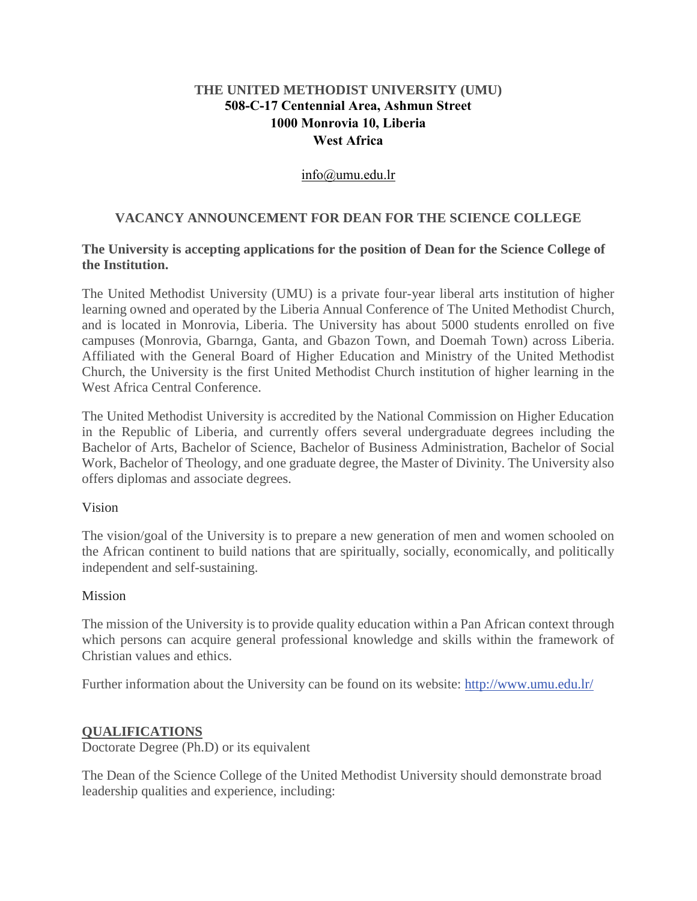# **THE UNITED METHODIST UNIVERSITY (UMU) 508-C-17 Centennial Area, Ashmun Street 1000 Monrovia 10, Liberia West Africa**

# [info@umu.edu.lr](mailto:info@umu.edu.lr)

# **VACANCY ANNOUNCEMENT FOR DEAN FOR THE SCIENCE COLLEGE**

### **The University is accepting applications for the position of Dean for the Science College of the Institution.**

The United Methodist University (UMU) is a private four-year liberal arts institution of higher learning owned and operated by the Liberia Annual Conference of The United Methodist Church, and is located in Monrovia, Liberia. The University has about 5000 students enrolled on five campuses (Monrovia, Gbarnga, Ganta, and Gbazon Town, and Doemah Town) across Liberia. Affiliated with the General Board of Higher Education and Ministry of the United Methodist Church, the University is the first United Methodist Church institution of higher learning in the West Africa Central Conference.

The United Methodist University is accredited by the National Commission on Higher Education in the Republic of Liberia, and currently offers several undergraduate degrees including the Bachelor of Arts, Bachelor of Science, Bachelor of Business Administration, Bachelor of Social Work, Bachelor of Theology, and one graduate degree, the Master of Divinity. The University also offers diplomas and associate degrees.

### Vision

The vision/goal of the University is to prepare a new generation of men and women schooled on the African continent to build nations that are spiritually, socially, economically, and politically independent and self-sustaining.

#### Mission

The mission of the University is to provide quality education within a Pan African context through which persons can acquire general professional knowledge and skills within the framework of Christian values and ethics.

Further information about the University can be found on its website: [http://www.umu.edu.lr/](about:blank)

### **QUALIFICATIONS**

Doctorate Degree (Ph.D) or its equivalent

The Dean of the Science College of the United Methodist University should demonstrate broad leadership qualities and experience, including: